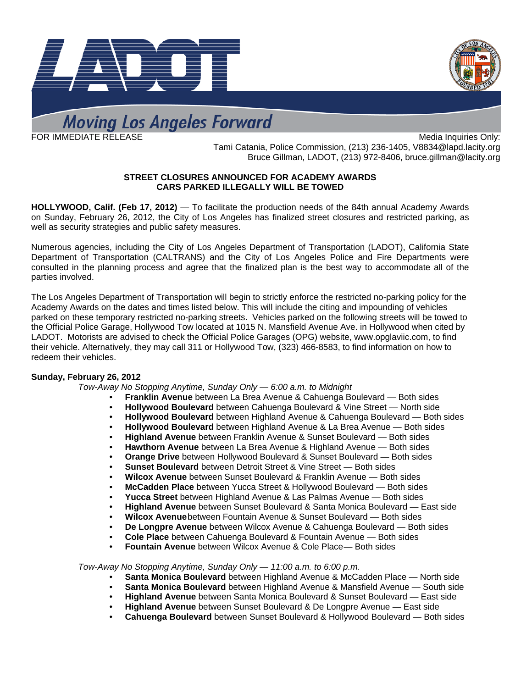



# **Moving Los Angeles Forward**

FOR IMMEDIATE RELEASE MANUSIC CONSUMING THE SERVICE ONLY: THE MEDIA INQUIRIES ONLY: Tami Catania, Police Commission, (213) 236-1405, [V8834@lapd.lacity.org](mailto:V8834@lapd.lacity.org)  Bruce Gillman, LADOT, (213) 972-8406, bruce.gillman@lacity.org

## **STREET CLOSURES ANNOUNCED FOR ACADEMY AWARDS CARS PARKED ILLEGALLY WILL BE TOWED**

**HOLLYWOOD, Calif. (Feb 17, 2012)** — To facilitate the production needs of the 84th annual Academy Awards on Sunday, February 26, 2012, the City of Los Angeles has finalized street closures and restricted parking, as well as security strategies and public safety measures.

Numerous agencies, including the City of Los Angeles Department of Transportation (LADOT), California State Department of Transportation (CALTRANS) and the City of Los Angeles Police and Fire Departments were consulted in the planning process and agree that the finalized plan is the best way to accommodate all of the parties involved.

The Los Angeles Department of Transportation will begin to strictly enforce the restricted no-parking policy for the Academy Awards on the dates and times listed below. This will include the citing and impounding of vehicles parked on these temporary restricted no-parking streets. Vehicles parked on the following streets will be towed to the Official Police Garage, Hollywood Tow located at 1015 N. Mansfield Avenue Ave. in Hollywood when cited by LADOT. Motorists are advised to check the Official Police Garages (OPG) website, [www.opglaviic.com,](http://www.opglaviic.com/) to find their vehicle. Alternatively, they may call 311 or Hollywood Tow, (323) 466-8583, to find information on how to redeem their vehicles.

### **Sunday, February 26, 2012**

*Tow-Away No Stopping Anytime, Sunday Only — 6:00 a.m. to Midnight* 

- **Franklin Avenue** between La Brea Avenue & Cahuenga Boulevard Both sides
- **Hollywood Boulevard** between Cahuenga Boulevard & Vine Street North side
- **Hollywood Boulevard** between Highland Avenue & Cahuenga Boulevard Both sides
- **Hollywood Boulevard** between Highland Avenue & La Brea Avenue Both sides
- **Highland Avenue** between Franklin Avenue & Sunset Boulevard Both sides
- **Hawthorn Avenue** between La Brea Avenue & Highland Avenue Both sides
- **Orange Drive** between Hollywood Boulevard & Sunset Boulevard Both sides
- **Sunset Boulevard** between Detroit Street & Vine Street Both sides
- **Wilcox Avenue** between Sunset Boulevard & Franklin Avenue Both sides
- **McCadden Place** between Yucca Street & Hollywood Boulevard Both sides
- **Yucca Street** between Highland Avenue & Las Palmas Avenue Both sides
- **Highland Avenue** between Sunset Boulevard & Santa Monica Boulevard East side
- **Wilcox Avenue** between Fountain Avenue & Sunset Boulevard Both sides
- **De Longpre Avenue** between Wilcox Avenue & Cahuenga Boulevard Both sides
- **Cole Place** between Cahuenga Boulevard & Fountain Avenue Both sides
- **Fountain Avenue** between Wilcox Avenue & Cole Place Both sides

# *Tow-Away No Stopping Anytime, Sunday Only — 11:00 a.m. to 6:00 p.m.*

- **Santa Monica Boulevard** between Highland Avenue & McCadden Place North side
- **Santa Monica Boulevard** between Highland Avenue & Mansfield Avenue South side
- **Highland Avenue** between Santa Monica Boulevard & Sunset Boulevard East side
- **Highland Avenue** between Sunset Boulevard & De Longpre Avenue East side
- **Cahuenga Boulevard** between Sunset Boulevard & Hollywood Boulevard Both sides